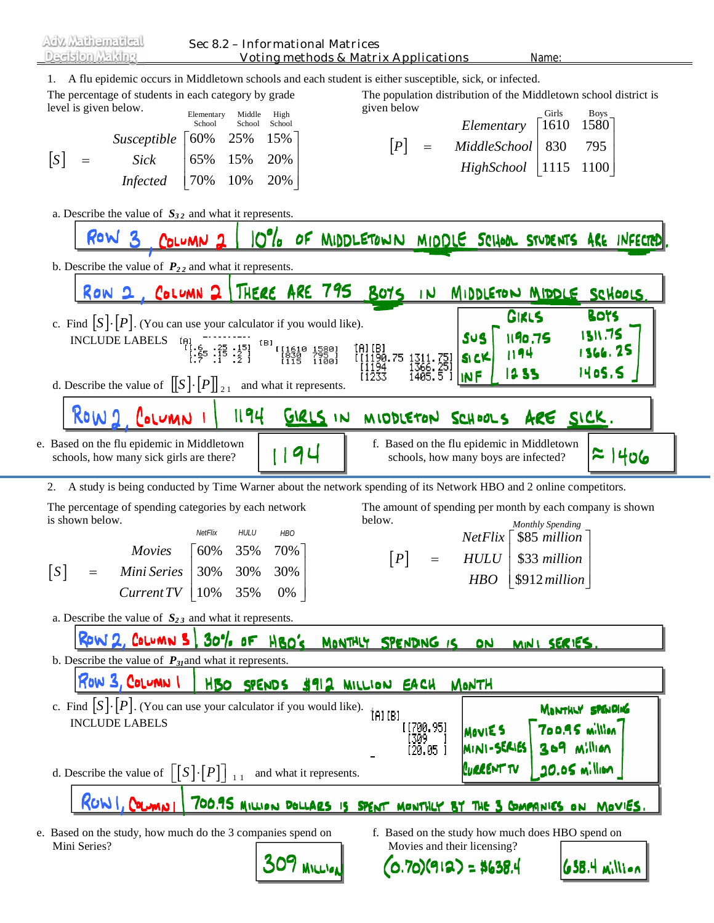1. A flu epidemic occurs in Middletown schools and each student is either susceptible, sick, or infected.

The percentage of students in each category by grade level is given below.

The population distribution of the Middletown school district is given below Elementary Middle High Boys School School School School School School Boys Chris Boys Girls Boys

| Susceptible<br>[S]<br><b>Sick</b><br>$=$<br><b>Infected</b>                                                                                           | School<br>School<br>School<br>15%<br>60%<br>25%<br>65%<br>15%<br>20%<br>70%<br>10%<br>20%                                                                                            | [P]                                     | Elementary<br>MiddleSchool<br>$=$<br>HighSchool                                               | 1580<br>1610<br>830<br>795<br>1115<br>1100                                                                                            |
|-------------------------------------------------------------------------------------------------------------------------------------------------------|--------------------------------------------------------------------------------------------------------------------------------------------------------------------------------------|-----------------------------------------|-----------------------------------------------------------------------------------------------|---------------------------------------------------------------------------------------------------------------------------------------|
| a. Describe the value of $S_{32}$ and what it represents.<br>ROW 3                                                                                    | $10^{\circ}/_o$<br>COLUMN <sub>2</sub>                                                                                                                                               | OF MIDDLETONN MIDDLE SCHOOL STUDENTS    |                                                                                               | ARE INFECTED                                                                                                                          |
|                                                                                                                                                       |                                                                                                                                                                                      |                                         |                                                                                               |                                                                                                                                       |
| b. Describe the value of $P_{22}$ and what it represents.                                                                                             |                                                                                                                                                                                      |                                         |                                                                                               |                                                                                                                                       |
|                                                                                                                                                       | ROW 2, COLUMN 2   THERE ARE 795                                                                                                                                                      | <u>BOTS</u>                             | 1N                                                                                            | MIDDLETON MIDDLE SCHOOLS                                                                                                              |
| c. Find $[S] \cdot [P]$ . (You can use your calculator if you would like).<br><b>INCLUDE LABELS</b><br>d. Describe the value of $[[S]\cdot [P]]_{21}$ | $\begin{matrix} [4] & - & - & - \\ \{1.6 & -25 & 15\} & \{1.6 \\ \{65 & 15 & 2\} & \{2.1 \\ \end{matrix}}$<br>181 11610<br>  1580 11611<br>  1630 1115 11<br>and what it represents. | (A) (B)<br>( (1190.75<br>[1194<br>[1233 | SUS<br>SI CK<br>1311 - 751<br>1366 - 251<br>1405 - 5<br><b>INF</b>                            | <b>Bots</b><br>GIRLS<br><b>1311.75</b><br>1190.75<br>1366.25<br>1194<br>1405.5<br>1235                                                |
| ROW 1<br>COLUMN                                                                                                                                       | 1194<br>GIRLS IN                                                                                                                                                                     |                                         | MIODLETON SCHOOLS                                                                             | ARE SICK.                                                                                                                             |
| e. Based on the flu epidemic in Middletown<br>schools, how many sick girls are there?                                                                 | 94                                                                                                                                                                                   |                                         | f. Based on the flu epidemic in Middletown<br>schools, how many boys are infected?            | $\approx$ 1406                                                                                                                        |
| 2.                                                                                                                                                    | A study is being conducted by Time Warner about the network spending of its Network HBO and 2 online competitors.                                                                    |                                         |                                                                                               |                                                                                                                                       |
| The percentage of spending categories by each network<br>is shown below.<br><b>Movies</b><br>[S]<br>Mini Series<br>$=$<br>Current TV                  | NetFlix<br><b>HULU</b><br><b>HBO</b><br>70%<br>60%<br>35%<br>30%<br>30%<br>30%<br>0%<br>$ 10\%$<br>35%                                                                               | below.<br>[P]                           | NetFlix<br><b>HULU</b><br>$=$<br><b>HBO</b>                                                   | The amount of spending per month by each company is shown<br><b>Monthly Spending</b><br>\$85 million<br>\$33 million<br>\$912 million |
| a. Describe the value of $S_{23}$ and what it represents.                                                                                             |                                                                                                                                                                                      |                                         |                                                                                               |                                                                                                                                       |
|                                                                                                                                                       | ROW 2, COLUMN 5 30% OF HBO'S                                                                                                                                                         | MONTHLY SPENDING IS                     | <u>DN</u>                                                                                     | MINI SERIES                                                                                                                           |
| b. Describe the value of $P_{31}$ and what it represents.<br>ROW 3, COLUMN I                                                                          |                                                                                                                                                                                      |                                         |                                                                                               |                                                                                                                                       |
| c. Find $ S  \cdot  P $ . (You can use your calculator if you would like).<br><b>INCLUDE LABELS</b>                                                   | HBO SPENDS \$912 MILLION EACH                                                                                                                                                        | (falle)                                 | MONTH<br>【【700.95】<br><b>MOVIES</b><br>[309 ]<br>[20.05 ]<br>MINI-SERIES<br><b>CURRENT TV</b> | MONTHLY SPENDING<br>700.95 million<br>$309$ Million<br>$20.05$ million                                                                |

 $\lfloor S \rfloor \cdot \lfloor P \rfloor$   $\rfloor$  and what it represents.

700.95 MILLION DOLLARS IS SPENT MONTHLY BY THE 3 COMPANIES ON MOVIES.

(0.70)(912) = \$638.4

e. Based on the study, how much do the 3 companies spend on Mini Series? 309 MILLION

RUWI, COLUMN

f. Based on the study how much does HBO spend on Movies and their licensing?

658.4 million